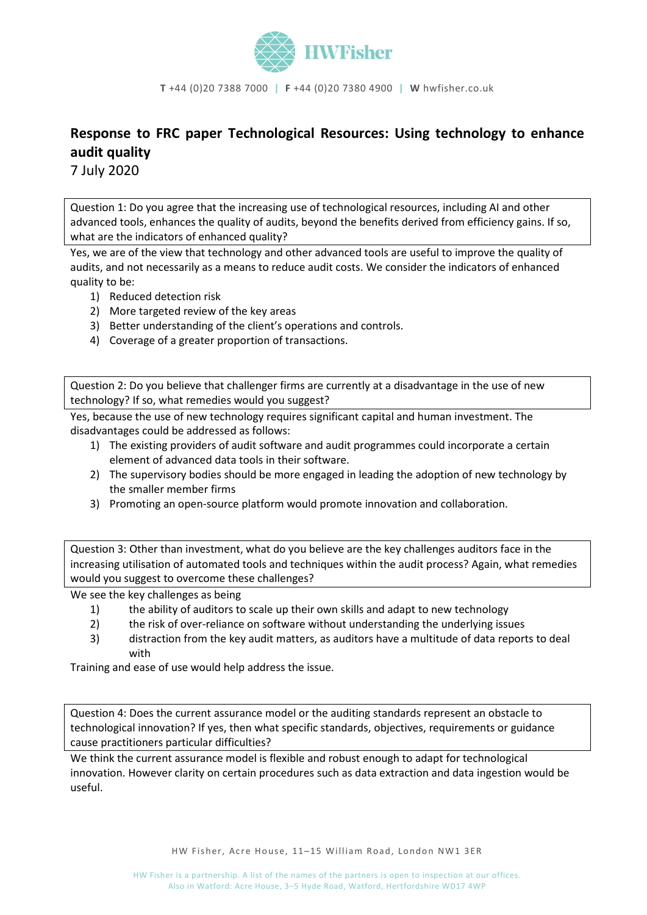

**T** +44 (0)20 7388 7000 **| F** +44 (0)20 7380 4900 **| W** hwfisher.co.uk

## **Response to FRC paper Technological Resources: Using technology to enhance audit quality**

7 July 2020

Question 1: Do you agree that the increasing use of technological resources, including AI and other advanced tools, enhances the quality of audits, beyond the benefits derived from efficiency gains. If so, what are the indicators of enhanced quality?

Yes, we are of the view that technology and other advanced tools are useful to improve the quality of audits, and not necessarily as a means to reduce audit costs. We consider the indicators of enhanced quality to be:

- 1) Reduced detection risk
- 2) More targeted review of the key areas
- 3) Better understanding of the client's operations and controls.
- 4) Coverage of a greater proportion of transactions.

Question 2: Do you believe that challenger firms are currently at a disadvantage in the use of new technology? If so, what remedies would you suggest?

Yes, because the use of new technology requires significant capital and human investment. The disadvantages could be addressed as follows:

- 1) The existing providers of audit software and audit programmes could incorporate a certain element of advanced data tools in their software.
- 2) The supervisory bodies should be more engaged in leading the adoption of new technology by the smaller member firms
- 3) Promoting an open-source platform would promote innovation and collaboration.

Question 3: Other than investment, what do you believe are the key challenges auditors face in the increasing utilisation of automated tools and techniques within the audit process? Again, what remedies would you suggest to overcome these challenges?

We see the key challenges as being

- 1) the ability of auditors to scale up their own skills and adapt to new technology
- 2) the risk of over-reliance on software without understanding the underlying issues
- 3) distraction from the key audit matters, as auditors have a multitude of data reports to deal with

Training and ease of use would help address the issue.

Question 4: Does the current assurance model or the auditing standards represent an obstacle to technological innovation? If yes, then what specific standards, objectives, requirements or guidance cause practitioners particular difficulties?

We think the current assurance model is flexible and robust enough to adapt for technological innovation. However clarity on certain procedures such as data extraction and data ingestion would be useful.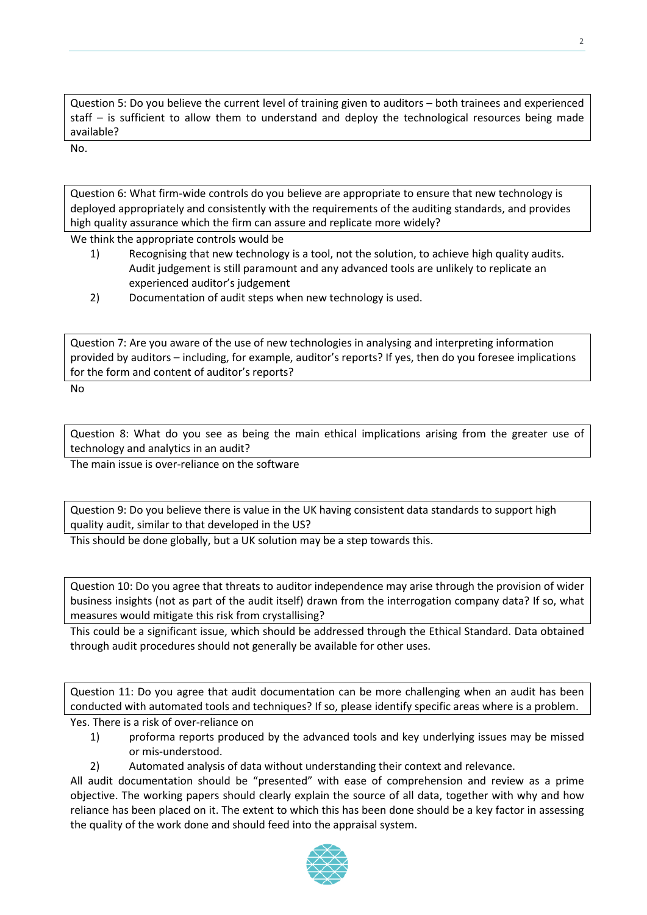Question 5: Do you believe the current level of training given to auditors – both trainees and experienced staff – is sufficient to allow them to understand and deploy the technological resources being made available?

2

No.

Question 6: What firm-wide controls do you believe are appropriate to ensure that new technology is deployed appropriately and consistently with the requirements of the auditing standards, and provides high quality assurance which the firm can assure and replicate more widely?

We think the appropriate controls would be

- 1) Recognising that new technology is a tool, not the solution, to achieve high quality audits. Audit judgement is still paramount and any advanced tools are unlikely to replicate an experienced auditor's judgement
- 2) Documentation of audit steps when new technology is used.

Question 7: Are you aware of the use of new technologies in analysing and interpreting information provided by auditors – including, for example, auditor's reports? If yes, then do you foresee implications for the form and content of auditor's reports?

No

Question 8: What do you see as being the main ethical implications arising from the greater use of technology and analytics in an audit?

The main issue is over-reliance on the software

Question 9: Do you believe there is value in the UK having consistent data standards to support high quality audit, similar to that developed in the US?

This should be done globally, but a UK solution may be a step towards this.

Question 10: Do you agree that threats to auditor independence may arise through the provision of wider business insights (not as part of the audit itself) drawn from the interrogation company data? If so, what measures would mitigate this risk from crystallising?

This could be a significant issue, which should be addressed through the Ethical Standard. Data obtained through audit procedures should not generally be available for other uses.

Question 11: Do you agree that audit documentation can be more challenging when an audit has been conducted with automated tools and techniques? If so, please identify specific areas where is a problem.

Yes. There is a risk of over-reliance on

- 1) proforma reports produced by the advanced tools and key underlying issues may be missed or mis-understood.
- 2) Automated analysis of data without understanding their context and relevance.

All audit documentation should be "presented" with ease of comprehension and review as a prime objective. The working papers should clearly explain the source of all data, together with why and how reliance has been placed on it. The extent to which this has been done should be a key factor in assessing the quality of the work done and should feed into the appraisal system.